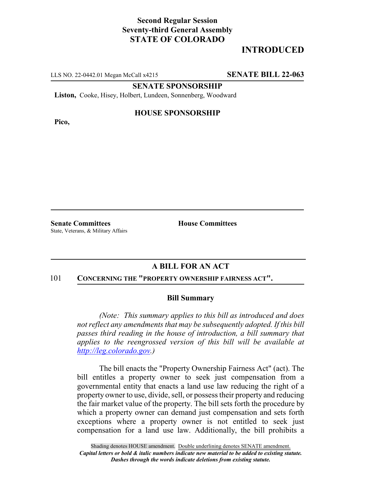## **Second Regular Session Seventy-third General Assembly STATE OF COLORADO**

# **INTRODUCED**

LLS NO. 22-0442.01 Megan McCall x4215 **SENATE BILL 22-063**

**SENATE SPONSORSHIP**

**Liston,** Cooke, Hisey, Holbert, Lundeen, Sonnenberg, Woodward

**Pico,**

### **HOUSE SPONSORSHIP**

**Senate Committees House Committees** State, Veterans, & Military Affairs

## **A BILL FOR AN ACT**

#### 101 **CONCERNING THE "PROPERTY OWNERSHIP FAIRNESS ACT".**

### **Bill Summary**

*(Note: This summary applies to this bill as introduced and does not reflect any amendments that may be subsequently adopted. If this bill passes third reading in the house of introduction, a bill summary that applies to the reengrossed version of this bill will be available at http://leg.colorado.gov.)*

The bill enacts the "Property Ownership Fairness Act" (act). The bill entitles a property owner to seek just compensation from a governmental entity that enacts a land use law reducing the right of a property owner to use, divide, sell, or possess their property and reducing the fair market value of the property. The bill sets forth the procedure by which a property owner can demand just compensation and sets forth exceptions where a property owner is not entitled to seek just compensation for a land use law. Additionally, the bill prohibits a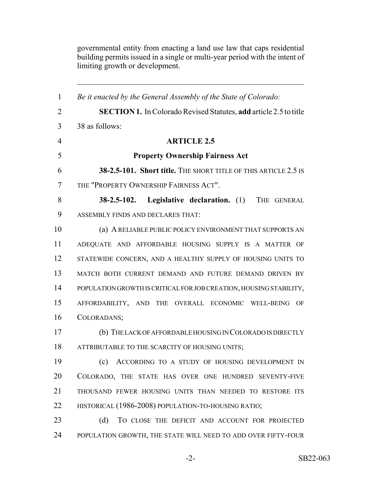governmental entity from enacting a land use law that caps residential building permits issued in a single or multi-year period with the intent of limiting growth or development.

 *Be it enacted by the General Assembly of the State of Colorado:* **SECTION 1.** In Colorado Revised Statutes, **add** article 2.5 to title 38 as follows: **ARTICLE 2.5 Property Ownership Fairness Act 38-2.5-101. Short title.** THE SHORT TITLE OF THIS ARTICLE 2.5 IS THE "PROPERTY OWNERSHIP FAIRNESS ACT". **38-2.5-102. Legislative declaration.** (1) THE GENERAL ASSEMBLY FINDS AND DECLARES THAT: (a) A RELIABLE PUBLIC POLICY ENVIRONMENT THAT SUPPORTS AN ADEQUATE AND AFFORDABLE HOUSING SUPPLY IS A MATTER OF 12 STATEWIDE CONCERN, AND A HEALTHY SUPPLY OF HOUSING UNITS TO MATCH BOTH CURRENT DEMAND AND FUTURE DEMAND DRIVEN BY POPULATION GROWTH IS CRITICAL FOR JOB CREATION, HOUSING STABILITY, AFFORDABILITY, AND THE OVERALL ECONOMIC WELL-BEING OF COLORADANS; (b) THE LACK OF AFFORDABLE HOUSING IN COLORADO IS DIRECTLY 18 ATTRIBUTABLE TO THE SCARCITY OF HOUSING UNITS; (c) ACCORDING TO A STUDY OF HOUSING DEVELOPMENT IN COLORADO, THE STATE HAS OVER ONE HUNDRED SEVENTY-FIVE THOUSAND FEWER HOUSING UNITS THAN NEEDED TO RESTORE ITS 22 HISTORICAL (1986-2008) POPULATION-TO-HOUSING RATIO; 23 (d) TO CLOSE THE DEFICIT AND ACCOUNT FOR PROJECTED 24 POPULATION GROWTH, THE STATE WILL NEED TO ADD OVER FIFTY-FOUR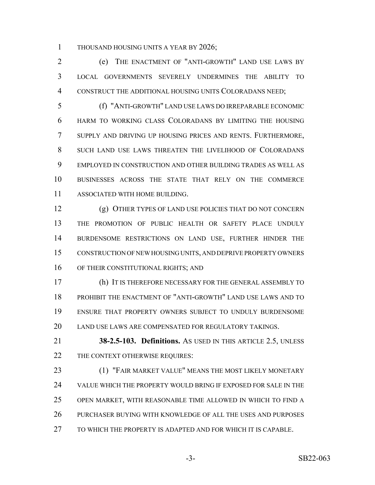1 THOUSAND HOUSING UNITS A YEAR BY 2026;

 (e) THE ENACTMENT OF "ANTI-GROWTH" LAND USE LAWS BY LOCAL GOVERNMENTS SEVERELY UNDERMINES THE ABILITY TO CONSTRUCT THE ADDITIONAL HOUSING UNITS COLORADANS NEED;

 (f) "ANTI-GROWTH" LAND USE LAWS DO IRREPARABLE ECONOMIC HARM TO WORKING CLASS COLORADANS BY LIMITING THE HOUSING SUPPLY AND DRIVING UP HOUSING PRICES AND RENTS. FURTHERMORE, SUCH LAND USE LAWS THREATEN THE LIVELIHOOD OF COLORADANS EMPLOYED IN CONSTRUCTION AND OTHER BUILDING TRADES AS WELL AS BUSINESSES ACROSS THE STATE THAT RELY ON THE COMMERCE ASSOCIATED WITH HOME BUILDING.

 (g) OTHER TYPES OF LAND USE POLICIES THAT DO NOT CONCERN THE PROMOTION OF PUBLIC HEALTH OR SAFETY PLACE UNDULY BURDENSOME RESTRICTIONS ON LAND USE, FURTHER HINDER THE CONSTRUCTION OF NEW HOUSING UNITS, AND DEPRIVE PROPERTY OWNERS 16 OF THEIR CONSTITUTIONAL RIGHTS; AND

 (h) IT IS THEREFORE NECESSARY FOR THE GENERAL ASSEMBLY TO PROHIBIT THE ENACTMENT OF "ANTI-GROWTH" LAND USE LAWS AND TO ENSURE THAT PROPERTY OWNERS SUBJECT TO UNDULY BURDENSOME 20 LAND USE LAWS ARE COMPENSATED FOR REGULATORY TAKINGS.

 **38-2.5-103. Definitions.** AS USED IN THIS ARTICLE 2.5, UNLESS 22 THE CONTEXT OTHERWISE REQUIRES:

 (1) "FAIR MARKET VALUE" MEANS THE MOST LIKELY MONETARY VALUE WHICH THE PROPERTY WOULD BRING IF EXPOSED FOR SALE IN THE OPEN MARKET, WITH REASONABLE TIME ALLOWED IN WHICH TO FIND A PURCHASER BUYING WITH KNOWLEDGE OF ALL THE USES AND PURPOSES TO WHICH THE PROPERTY IS ADAPTED AND FOR WHICH IT IS CAPABLE.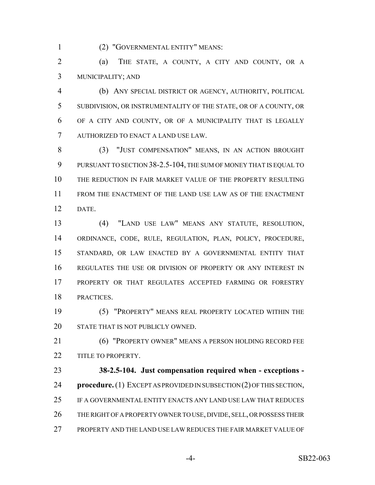(2) "GOVERNMENTAL ENTITY" MEANS:

 (a) THE STATE, A COUNTY, A CITY AND COUNTY, OR A MUNICIPALITY; AND

 (b) ANY SPECIAL DISTRICT OR AGENCY, AUTHORITY, POLITICAL SUBDIVISION, OR INSTRUMENTALITY OF THE STATE, OR OF A COUNTY, OR OF A CITY AND COUNTY, OR OF A MUNICIPALITY THAT IS LEGALLY AUTHORIZED TO ENACT A LAND USE LAW.

 (3) "JUST COMPENSATION" MEANS, IN AN ACTION BROUGHT PURSUANT TO SECTION 38-2.5-104, THE SUM OF MONEY THAT IS EQUAL TO THE REDUCTION IN FAIR MARKET VALUE OF THE PROPERTY RESULTING FROM THE ENACTMENT OF THE LAND USE LAW AS OF THE ENACTMENT DATE.

 (4) "LAND USE LAW" MEANS ANY STATUTE, RESOLUTION, ORDINANCE, CODE, RULE, REGULATION, PLAN, POLICY, PROCEDURE, STANDARD, OR LAW ENACTED BY A GOVERNMENTAL ENTITY THAT REGULATES THE USE OR DIVISION OF PROPERTY OR ANY INTEREST IN PROPERTY OR THAT REGULATES ACCEPTED FARMING OR FORESTRY PRACTICES.

 (5) "PROPERTY" MEANS REAL PROPERTY LOCATED WITHIN THE 20 STATE THAT IS NOT PUBLICLY OWNED.

 (6) "PROPERTY OWNER" MEANS A PERSON HOLDING RECORD FEE 22 TITLE TO PROPERTY.

 **38-2.5-104. Just compensation required when - exceptions - procedure.** (1) EXCEPT AS PROVIDED IN SUBSECTION (2) OF THIS SECTION, IF A GOVERNMENTAL ENTITY ENACTS ANY LAND USE LAW THAT REDUCES 26 THE RIGHT OF A PROPERTY OWNER TO USE, DIVIDE, SELL, OR POSSESS THEIR PROPERTY AND THE LAND USE LAW REDUCES THE FAIR MARKET VALUE OF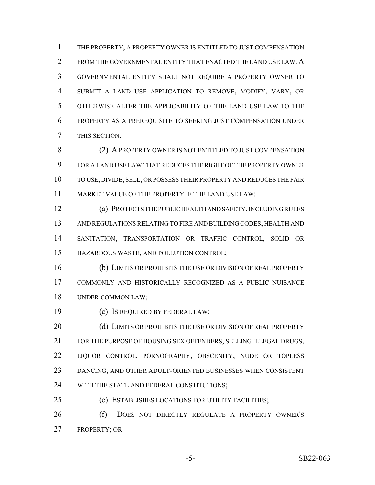THE PROPERTY, A PROPERTY OWNER IS ENTITLED TO JUST COMPENSATION 2 FROM THE GOVERNMENTAL ENTITY THAT ENACTED THE LAND USE LAW. A GOVERNMENTAL ENTITY SHALL NOT REQUIRE A PROPERTY OWNER TO SUBMIT A LAND USE APPLICATION TO REMOVE, MODIFY, VARY, OR OTHERWISE ALTER THE APPLICABILITY OF THE LAND USE LAW TO THE PROPERTY AS A PREREQUISITE TO SEEKING JUST COMPENSATION UNDER THIS SECTION.

8 (2) A PROPERTY OWNER IS NOT ENTITLED TO JUST COMPENSATION FOR A LAND USE LAW THAT REDUCES THE RIGHT OF THE PROPERTY OWNER TO USE, DIVIDE, SELL, OR POSSESS THEIR PROPERTY AND REDUCES THE FAIR MARKET VALUE OF THE PROPERTY IF THE LAND USE LAW:

 (a) PROTECTS THE PUBLIC HEALTH AND SAFETY, INCLUDING RULES AND REGULATIONS RELATING TO FIRE AND BUILDING CODES, HEALTH AND SANITATION, TRANSPORTATION OR TRAFFIC CONTROL, SOLID OR HAZARDOUS WASTE, AND POLLUTION CONTROL;

 (b) LIMITS OR PROHIBITS THE USE OR DIVISION OF REAL PROPERTY COMMONLY AND HISTORICALLY RECOGNIZED AS A PUBLIC NUISANCE UNDER COMMON LAW;

(c) IS REQUIRED BY FEDERAL LAW;

20 (d) LIMITS OR PROHIBITS THE USE OR DIVISION OF REAL PROPERTY 21 FOR THE PURPOSE OF HOUSING SEX OFFENDERS, SELLING ILLEGAL DRUGS, LIQUOR CONTROL, PORNOGRAPHY, OBSCENITY, NUDE OR TOPLESS DANCING, AND OTHER ADULT-ORIENTED BUSINESSES WHEN CONSISTENT 24 WITH THE STATE AND FEDERAL CONSTITUTIONS;

(e) ESTABLISHES LOCATIONS FOR UTILITY FACILITIES;

 (f) DOES NOT DIRECTLY REGULATE A PROPERTY OWNER'S PROPERTY; OR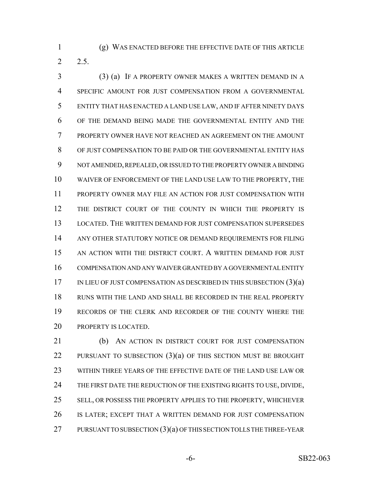(g) WAS ENACTED BEFORE THE EFFECTIVE DATE OF THIS ARTICLE 2.5.

 (3) (a) IF A PROPERTY OWNER MAKES A WRITTEN DEMAND IN A SPECIFIC AMOUNT FOR JUST COMPENSATION FROM A GOVERNMENTAL ENTITY THAT HAS ENACTED A LAND USE LAW, AND IF AFTER NINETY DAYS OF THE DEMAND BEING MADE THE GOVERNMENTAL ENTITY AND THE PROPERTY OWNER HAVE NOT REACHED AN AGREEMENT ON THE AMOUNT OF JUST COMPENSATION TO BE PAID OR THE GOVERNMENTAL ENTITY HAS NOT AMENDED, REPEALED, OR ISSUED TO THE PROPERTY OWNER A BINDING WAIVER OF ENFORCEMENT OF THE LAND USE LAW TO THE PROPERTY, THE PROPERTY OWNER MAY FILE AN ACTION FOR JUST COMPENSATION WITH THE DISTRICT COURT OF THE COUNTY IN WHICH THE PROPERTY IS LOCATED. THE WRITTEN DEMAND FOR JUST COMPENSATION SUPERSEDES ANY OTHER STATUTORY NOTICE OR DEMAND REQUIREMENTS FOR FILING 15 AN ACTION WITH THE DISTRICT COURT. A WRITTEN DEMAND FOR JUST COMPENSATION AND ANY WAIVER GRANTED BY A GOVERNMENTAL ENTITY 17 IN LIEU OF JUST COMPENSATION AS DESCRIBED IN THIS SUBSECTION  $(3)(a)$  RUNS WITH THE LAND AND SHALL BE RECORDED IN THE REAL PROPERTY RECORDS OF THE CLERK AND RECORDER OF THE COUNTY WHERE THE 20 PROPERTY IS LOCATED.

21 (b) AN ACTION IN DISTRICT COURT FOR JUST COMPENSATION 22 PURSUANT TO SUBSECTION (3)(a) OF THIS SECTION MUST BE BROUGHT WITHIN THREE YEARS OF THE EFFECTIVE DATE OF THE LAND USE LAW OR 24 THE FIRST DATE THE REDUCTION OF THE EXISTING RIGHTS TO USE, DIVIDE, SELL, OR POSSESS THE PROPERTY APPLIES TO THE PROPERTY, WHICHEVER IS LATER; EXCEPT THAT A WRITTEN DEMAND FOR JUST COMPENSATION 27 PURSUANT TO SUBSECTION (3)(a) OF THIS SECTION TOLLS THE THREE-YEAR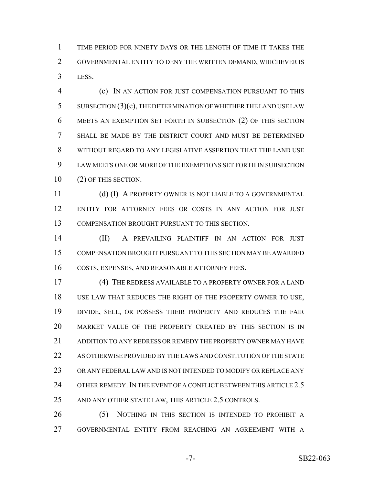TIME PERIOD FOR NINETY DAYS OR THE LENGTH OF TIME IT TAKES THE GOVERNMENTAL ENTITY TO DENY THE WRITTEN DEMAND, WHICHEVER IS LESS.

 (c) IN AN ACTION FOR JUST COMPENSATION PURSUANT TO THIS SUBSECTION (3)(c), THE DETERMINATION OF WHETHER THE LAND USE LAW MEETS AN EXEMPTION SET FORTH IN SUBSECTION (2) OF THIS SECTION SHALL BE MADE BY THE DISTRICT COURT AND MUST BE DETERMINED WITHOUT REGARD TO ANY LEGISLATIVE ASSERTION THAT THE LAND USE LAW MEETS ONE OR MORE OF THE EXEMPTIONS SET FORTH IN SUBSECTION (2) OF THIS SECTION.

11 (d) (I) A PROPERTY OWNER IS NOT LIABLE TO A GOVERNMENTAL ENTITY FOR ATTORNEY FEES OR COSTS IN ANY ACTION FOR JUST COMPENSATION BROUGHT PURSUANT TO THIS SECTION.

 (II) A PREVAILING PLAINTIFF IN AN ACTION FOR JUST COMPENSATION BROUGHT PURSUANT TO THIS SECTION MAY BE AWARDED COSTS, EXPENSES, AND REASONABLE ATTORNEY FEES.

 (4) THE REDRESS AVAILABLE TO A PROPERTY OWNER FOR A LAND USE LAW THAT REDUCES THE RIGHT OF THE PROPERTY OWNER TO USE, DIVIDE, SELL, OR POSSESS THEIR PROPERTY AND REDUCES THE FAIR MARKET VALUE OF THE PROPERTY CREATED BY THIS SECTION IS IN ADDITION TO ANY REDRESS OR REMEDY THE PROPERTY OWNER MAY HAVE AS OTHERWISE PROVIDED BY THE LAWS AND CONSTITUTION OF THE STATE OR ANY FEDERAL LAW AND IS NOT INTENDED TO MODIFY OR REPLACE ANY 24 OTHER REMEDY. IN THE EVENT OF A CONFLICT BETWEEN THIS ARTICLE 2.5 AND ANY OTHER STATE LAW, THIS ARTICLE 2.5 CONTROLS.

26 (5) NOTHING IN THIS SECTION IS INTENDED TO PROHIBIT A GOVERNMENTAL ENTITY FROM REACHING AN AGREEMENT WITH A